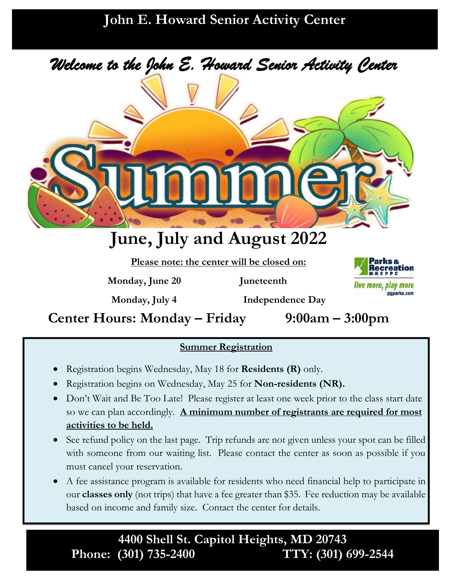### **John E. Howard Senior Activity Center**



# **June, July and August 2022**

**Please note: the center will be closed on:** 

**Monday, June 20 Juneteenth**



**Center Hours: Monday – Friday 9:00am – 3:00pm**

**Monday, July 4 Independence Day** 

### **Summer Registration**

- Registration begins Wednesday, May 18 for **Residents (R)** only.
- Registration begins on Wednesday, May 25 for **Non-residents (NR).**
- Don't Wait and Be Too Late! Please register at least one week prior to the class start date so we can plan accordingly. **A minimum number of registrants are required for most activities to be held.**
- See refund policy on the last page. Trip refunds are not given unless your spot can be filled with someone from our waiting list. Please contact the center as soon as possible if you must cancel your reservation.
- A fee assistance program is available for residents who need financial help to participate in our **classes only** (not trips) that have a fee greater than \$35. Fee reduction may be available based on income and family size. Contact the center for details.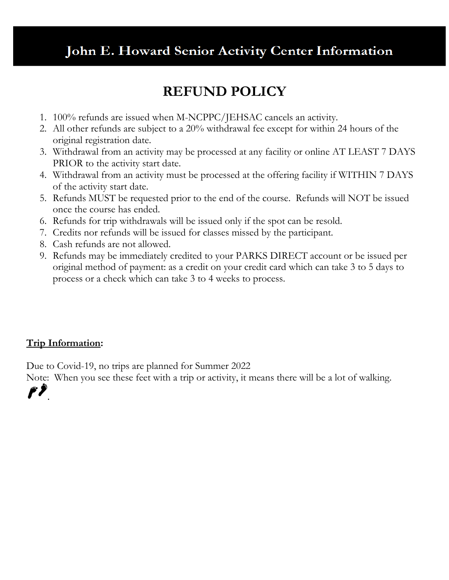### John E. Howard Senior Activity Center Information

### **REFUND POLICY**

- 1. 100% refunds are issued when M-NCPPC/JEHSAC cancels an activity.
- 2. All other refunds are subject to a 20% withdrawal fee except for within 24 hours of the original registration date.
- 3. Withdrawal from an activity may be processed at any facility or online AT LEAST 7 DAYS PRIOR to the activity start date.
- 4. Withdrawal from an activity must be processed at the offering facility if WITHIN 7 DAYS of the activity start date.
- 5. Refunds MUST be requested prior to the end of the course. Refunds will NOT be issued once the course has ended.
- 6. Refunds for trip withdrawals will be issued only if the spot can be resold.
- 7. Credits nor refunds will be issued for classes missed by the participant.
- 8. Cash refunds are not allowed.
- 9. Refunds may be immediately credited to your PARKS DIRECT account or be issued per original method of payment: as a credit on your credit card which can take 3 to 5 days to process or a check which can take 3 to 4 weeks to process.

#### **Trip Information:**

F*Y* 

Due to Covid-19, no trips are planned for Summer 2022

Note: When you see these feet with a trip or activity, it means there will be a lot of walking.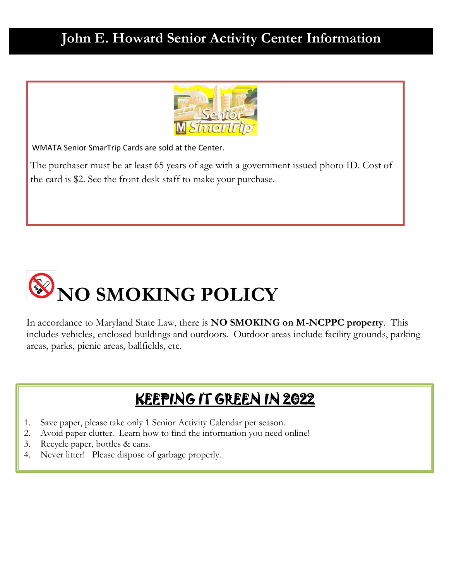### **John E. Howard Senior Activity Center Information**



WMATA Senior SmarTrip Cards are sold at the Center.

The purchaser must be at least 65 years of age with a government issued photo ID. Cost of the card is \$2. See the front desk staff to make your purchase.



In accordance to Maryland State Law, there is **NO SMOKING on M-NCPPC property**. This includes vehicles, enclosed buildings and outdoors. Outdoor areas include facility grounds, parking areas, parks, picnic areas, ballfields, etc.

### KEEPING IT GREEN IN 2022

- 1. Save paper, please take only 1 Senior Activity Calendar per season.
- 2. Avoid paper clutter. Learn how to find the information you need online!
- 3. Recycle paper, bottles & cans.
- 4. Never litter! Please dispose of garbage properly.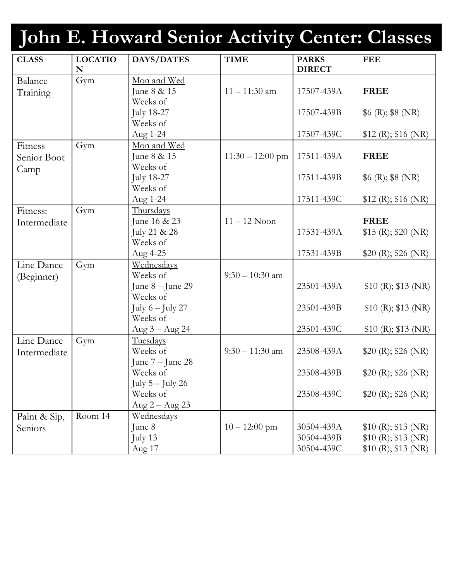# **John E. Howard Senior Activity Center: Classes**

| <b>CLASS</b> | <b>LOCATIO</b><br>N | DAYS/DATES                     | <b>TIME</b>        | <b>PARKS</b><br><b>DIRECT</b> | <b>FEE</b>           |
|--------------|---------------------|--------------------------------|--------------------|-------------------------------|----------------------|
| Balance      | Gym                 | Mon and Wed                    |                    |                               |                      |
| Training     |                     | June 8 & 15                    | $11 - 11:30$ am    | 17507-439A                    | <b>FREE</b>          |
|              |                     | Weeks of                       |                    |                               |                      |
|              |                     | <b>July 18-27</b>              |                    | 17507-439B                    | $6(R)$ ; \$8 (NR)    |
|              |                     | Weeks of                       |                    |                               |                      |
|              |                     | Aug 1-24                       |                    | 17507-439C                    | $$12$ (R); \$16 (NR) |
| Fitness      | Gym                 | Mon and Wed                    |                    |                               |                      |
| Senior Boot  |                     | June 8 & 15                    | $11:30 - 12:00$ pm | 17511-439A                    | <b>FREE</b>          |
| Camp         |                     | Weeks of                       |                    |                               |                      |
|              |                     | <b>July 18-27</b>              |                    | 17511-439B                    | $6(R)$ ; \$8 (NR)    |
|              |                     | Weeks of                       |                    |                               |                      |
|              |                     | Aug 1-24                       |                    | 17511-439C                    | $$12$ (R); \$16 (NR) |
| Fitness:     | Gym                 | Thursdays                      |                    |                               |                      |
| Intermediate |                     | June 16 & 23                   | $11 - 12$ Noon     |                               | <b>FREE</b>          |
|              |                     | July 21 & 28                   |                    | 17531-439A                    | \$15 (R); \$20 (NR)  |
|              |                     | Weeks of                       |                    |                               |                      |
|              |                     | Aug 4-25                       |                    | 17531-439B                    | \$20 (R); \$26 (NR)  |
| Line Dance   | Gym                 | Wednesdays                     |                    |                               |                      |
| (Beginner)   |                     | Weeks of                       | $9:30 - 10:30$ am  |                               |                      |
|              |                     | June $8 -$ June 29             |                    | 23501-439A                    | \$10(R); \$13(NR)    |
|              |                     | Weeks of                       |                    |                               |                      |
|              |                     | July $6$ – July 27             |                    | 23501-439B                    | \$10(R); \$13(NR)    |
|              |                     | Weeks of                       |                    |                               |                      |
|              |                     | Aug $3 -$ Aug 24               |                    | 23501-439C                    | \$10 (R); \$13 (NR)  |
| Line Dance   | Gym                 | Tuesdays<br>Weeks of           | $9:30 - 11:30$ am  | 23508-439A                    |                      |
| Intermediate |                     |                                |                    |                               | \$20 (R); \$26 (NR)  |
|              |                     | June $7 -$ June 28<br>Weeks of |                    | 23508-439B                    | \$20 (R); \$26 (NR)  |
|              |                     | July $5 -$ July 26             |                    |                               |                      |
|              |                     | Weeks of                       |                    | 23508-439C                    | \$20 (R); \$26 (NR)  |
|              |                     | Aug $2 -$ Aug $23$             |                    |                               |                      |
| Paint & Sip, | Room 14             | <u>Wednesdays</u>              |                    |                               |                      |
| Seniors      |                     | June 8                         | $10 - 12:00$ pm    | 30504-439A                    | \$10(R); \$13(R)     |
|              |                     | July 13                        |                    | 30504-439B                    | \$10 (R); \$13 (NR)  |
|              |                     | Aug 17                         |                    | 30504-439C                    | \$10(R); \$13(NR)    |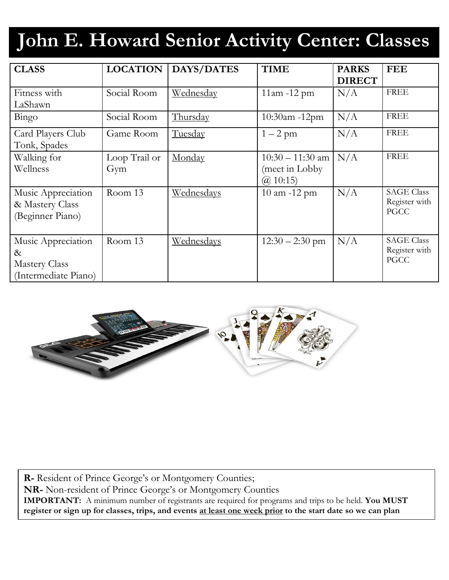# **John E. Howard Senior Activity Center: Classes**

| <b>CLASS</b>         | <b>LOCATION</b> | DAYS/DATES | <b>TIME</b>        | <b>PARKS</b>  | <b>FEE</b>        |
|----------------------|-----------------|------------|--------------------|---------------|-------------------|
|                      |                 |            |                    | <b>DIRECT</b> |                   |
| Fitness with         | Social Room     | Wednesday  | $11am - 12pm$      | N/A           | <b>FREE</b>       |
| LaShawn              |                 |            |                    |               |                   |
| Bingo                | Social Room     | Thursday   | 10:30am -12pm      | N/A           | <b>FREE</b>       |
| Card Players Club    | Game Room       | Tuesday    | $1-2$ pm           | N/A           | <b>FREE</b>       |
| Tonk, Spades         |                 |            |                    |               |                   |
| Walking for          | Loop Trail or   | Monday     | $10:30 - 11:30$ am | N/A           | <b>FREE</b>       |
| Wellness             | Gym             |            | (meet in Lobby     |               |                   |
|                      |                 |            | $(a)$ 10:15)       |               |                   |
| Music Appreciation   | Room 13         | Wednesdays | 10 am -12 pm       | N/A           | <b>SAGE Class</b> |
| & Mastery Class      |                 |            |                    |               | Register with     |
| (Beginner Piano)     |                 |            |                    |               | <b>PGCC</b>       |
|                      |                 |            |                    |               |                   |
| Music Appreciation   | Room 13         | Wednesdays | $12:30 - 2:30$ pm  | N/A           | <b>SAGE Class</b> |
| $\&$                 |                 |            |                    |               | Register with     |
| <b>Mastery Class</b> |                 |            |                    |               | <b>PGCC</b>       |
| (Intermediate Piano) |                 |            |                    |               |                   |



**R-** Resident of Prince George's or Montgomery Counties; **NR-** Non-resident of Prince George's or Montgomery Counties **IMPORTANT:** A minimum number of registrants are required for programs and trips to be held. **You MUST register or sign up for classes, trips, and events at least one week prior to the start date so we can plan** 

**accordingly.**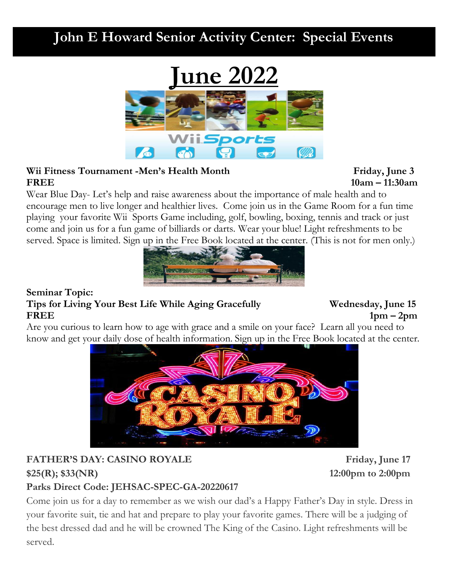

#### Wii Fitness Tournament -Men's Health Month Friday, June 3 **FREE** 10am – 11:30am

Wear Blue Day- Let's help and raise awareness about the importance of male health and to encourage men to live longer and healthier lives. Come join us in the Game Room for a fun time playing your favorite Wii Sports Game including, golf, bowling, boxing, tennis and track or just come and join us for a fun game of billiards or darts. Wear your blue! Light refreshments to be served. Space is limited. Sign up in the Free Book located at the center. (This is not for men only.)



#### **Seminar Topic: Tips for Living Your Best Life While Aging Gracefully Wednesday, June 15 FREE 1pm – 2pm**

Are you curious to learn how to age with grace and a smile on your face? Learn all you need to know and get your daily dose of health information. Sign up in the Free Book located at the center.



#### **FATHER'S DAY: CASINO ROYALE** Friday, June 17 **\$25(R); \$33(NR) 12:00pm to 2:00pm Parks Direct Code: JEHSAC-SPEC-GA-20220617**

Come join us for a day to remember as we wish our dad's a Happy Father's Day in style. Dress in your favorite suit, tie and hat and prepare to play your favorite games. There will be a judging of the best dressed dad and he will be crowned The King of the Casino. Light refreshments will be served.

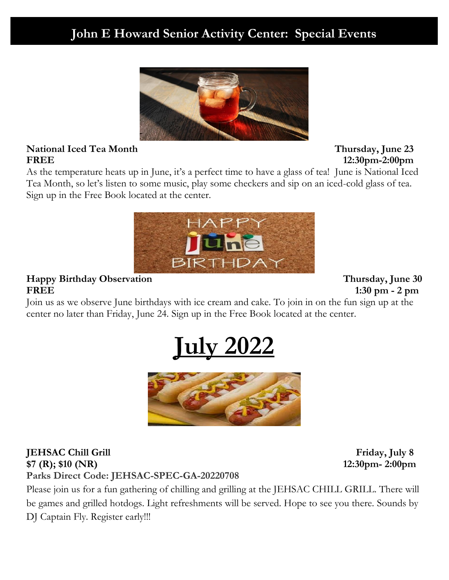

#### **National Iced Tea Month Thursday, June 23 FREE 12:30pm-2:00pm**

As the temperature heats up in June, it's a perfect time to have a glass of tea! June is National Iced Tea Month, so let's listen to some music, play some checkers and sip on an iced-cold glass of tea. Sign up in the Free Book located at the center.



#### **Happy Birthday Observation Thursday, June 30 FREE 1:30 pm - 2 pm**

Join us as we observe June birthdays with ice cream and cake. To join in on the fun sign up at the center no later than Friday, June 24. Sign up in the Free Book located at the center.





#### **JEHSAC Chill Grill** Grill **Grill** Friday, July 8 **\$7 (R); \$10 (NR) 12:30pm- 2:00pm Parks Direct Code: JEHSAC-SPEC-GA-20220708**

Please join us for a fun gathering of chilling and grilling at the JEHSAC CHILL GRILL. There will be games and grilled hotdogs. Light refreshments will be served. Hope to see you there. Sounds by DJ Captain Fly. Register early!!!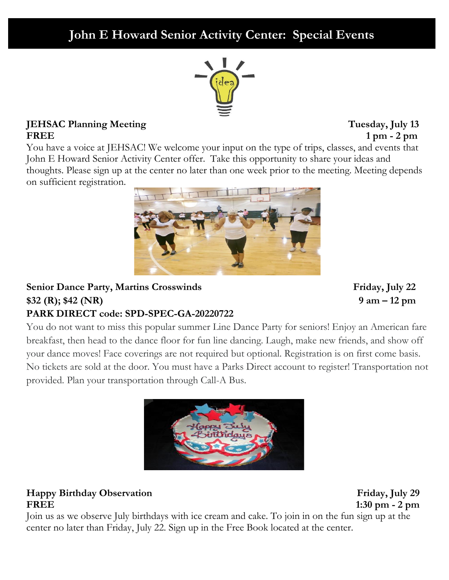

#### **JEHSAC Planning Meeting Tuesday, July 13 FREE 1 pm - 2 pm**

You have a voice at JEHSAC! We welcome your input on the type of trips, classes, and events that John E Howard Senior Activity Center offer. Take this opportunity to share your ideas and thoughts. Please sign up at the center no later than one week prior to the meeting. Meeting depends on sufficient registration.



#### **Senior Dance Party, Martins Crosswinds** Friday, July 22 **\$32 (R); \$42 (NR) 9 am – 12 pm PARK DIRECT code: SPD-SPEC-GA-20220722**

You do not want to miss this popular summer Line Dance Party for seniors! Enjoy an American fare breakfast, then head to the dance floor for fun line dancing. Laugh, make new friends, and show off your dance moves! Face coverings are not required but optional. Registration is on first come basis. No tickets are sold at the door. You must have a Parks Direct account to register! Transportation not provided. Plan your transportation through Call-A Bus.



#### **Happy Birthday Observation Friday, July 29 FREE 1:30 pm - 2 pm**

Join us as we observe July birthdays with ice cream and cake. To join in on the fun sign up at the center no later than Friday, July 22. Sign up in the Free Book located at the center.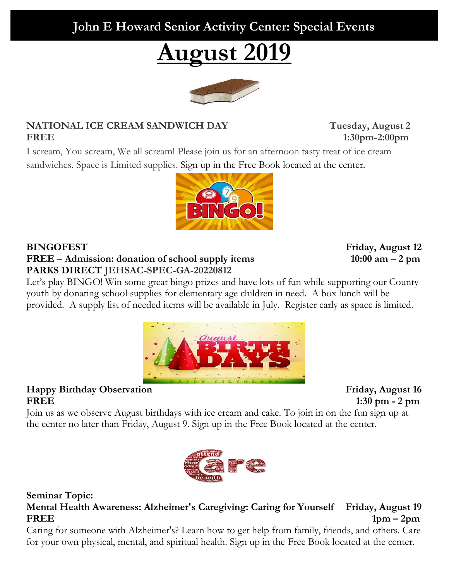**August 2019**

#### **NATIONAL ICE CREAM SANDWICH DAY Tuesday, August 2 FREE 1:30pm-2:00pm**

I scream, You scream, We all scream! Please join us for an afternoon tasty treat of ice cream sandwiches. Space is Limited supplies. Sign up in the Free Book located at the center.

#### **BINGOFEST Friday, August 12 FREE – Admission: donation of school supply items 10:00 am – 2 pm PARKS DIRECT JEHSAC-SPEC-GA-20220812**

Let's play BINGO! Win some great bingo prizes and have lots of fun while supporting our County youth by donating school supplies for elementary age children in need. A box lunch will be provided. A supply list of needed items will be available in July. Register early as space is limited.

**Happy Birthday Observation Friday, August 16 FREE 1:30 pm - 2 pm**

Join us as we observe August birthdays with ice cream and cake. To join in on the fun sign up at the center no later than Friday, August 9. Sign up in the Free Book located at the center.



**Mental Health Awareness: Alzheimer's Caregiving: Caring for Yourself Friday, August 19 FREE 1pm – 2pm** 

Caring for someone with Alzheimer's? Learn how to get help from family, friends, and others. Care for your own physical, mental, and spiritual health. Sign up in the Free Book located at the center.







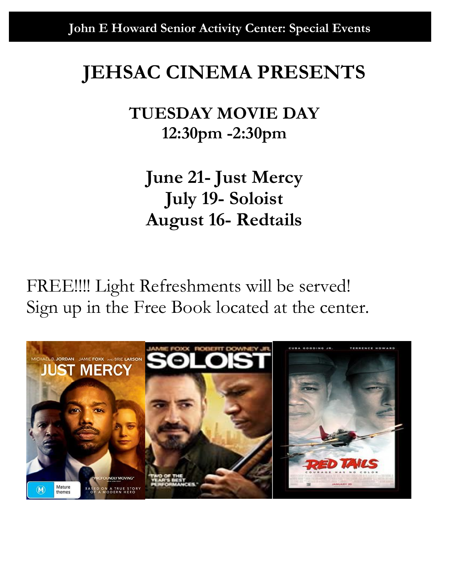# **JEHSAC CINEMA PRESENTS**

## **TUESDAY MOVIE DAY 12:30pm -2:30pm**

**June 21- Just Mercy July 19- Soloist August 16- Redtails**

FREE!!!! Light Refreshments will be served! Sign up in the Free Book located at the center.